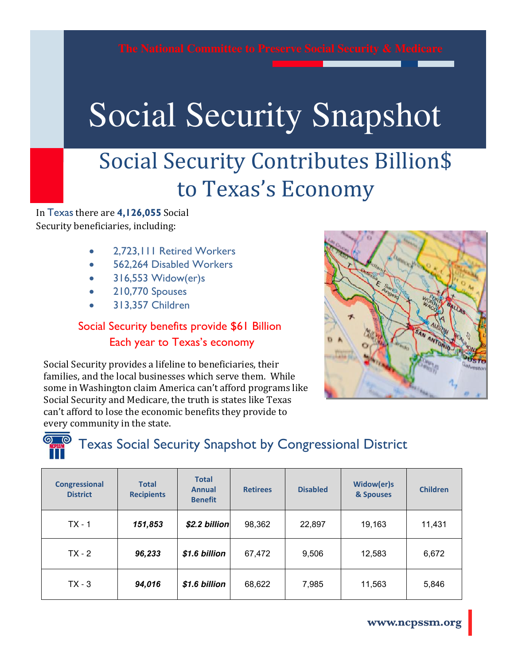## Social Security Snapshot Social Security Snapshot

## Social Security Contributes Billion\$ to Texas's Economy

In Texas there are **4,126,055** Social Security beneficiaries, including:

- 2,723,111 Retired Workers
- 562,264 Disabled Workers
- 316,553 Widow(er)s
- 210,770 Spouses
- 313,357 Children

#### Social Security benefits provide \$61 Billion Each year to Texas's economy

Social Security provides a lifeline to beneficiaries, their families, and the local businesses which serve them. While some in Washington claim America can't afford programs like Social Security and Medicare, the truth is states like Texas can't afford to lose the economic benefits they provide to every community in the state.





### Texas Social Security Snapshot by Congressional District

| <b>Congressional</b><br><b>District</b> | <b>Total</b><br><b>Recipients</b> | <b>Total</b><br><b>Annual</b><br><b>Benefit</b> | <b>Retirees</b> | <b>Disabled</b> | Widow(er)s<br>& Spouses | <b>Children</b> |
|-----------------------------------------|-----------------------------------|-------------------------------------------------|-----------------|-----------------|-------------------------|-----------------|
| $TX - 1$                                | 151,853                           | \$2.2 billion                                   | 98,362          | 22,897          | 19,163                  | 11,431          |
| $TX - 2$                                | 96,233                            | \$1.6 billion                                   | 67,472          | 9,506           | 12,583                  | 6,672           |
| $TX - 3$                                | 94,016                            | \$1.6 billion                                   | 68,622          | 7,985           | 11,563                  | 5,846           |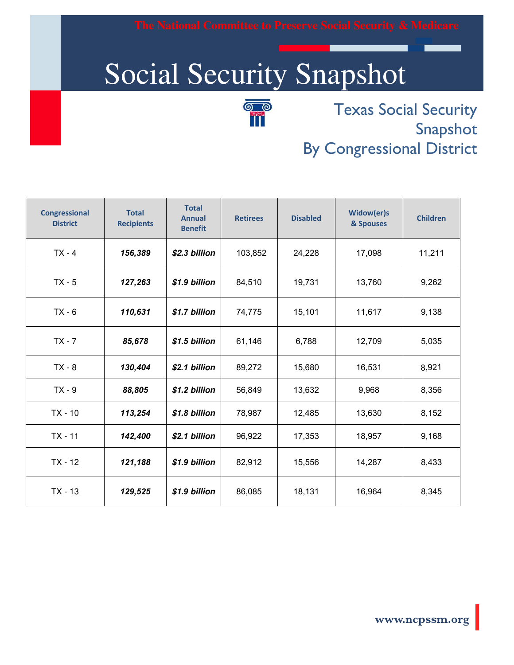# Social Security Snapshot



 Texas Social Security Snapshot By Congressional District

| <b>Congressional</b><br><b>District</b> | <b>Total</b><br><b>Recipients</b> | <b>Total</b><br><b>Annual</b><br><b>Benefit</b> | <b>Retirees</b> | <b>Disabled</b> | Widow(er)s<br>& Spouses | <b>Children</b> |
|-----------------------------------------|-----------------------------------|-------------------------------------------------|-----------------|-----------------|-------------------------|-----------------|
| $TX - 4$                                | 156,389                           | \$2.3 billion                                   | 103,852         | 24,228          | 17,098                  | 11,211          |
| $TX - 5$                                | 127,263                           | \$1.9 billion                                   | 84,510          | 19,731          | 13,760                  | 9,262           |
| $TX - 6$                                | 110,631                           | \$1.7 billion                                   | 74,775          | 15,101          | 11,617                  | 9,138           |
| $TX - 7$                                | 85,678                            | \$1.5 billion                                   | 61,146          | 6,788           | 12,709                  | 5,035           |
| $TX - 8$                                | 130,404                           | \$2.1 billion                                   | 89,272          | 15,680          | 16,531                  | 8,921           |
| $TX - 9$                                | 88,805                            | \$1.2 billion                                   | 56,849          | 13,632          | 9,968                   | 8,356           |
| $TX - 10$                               | 113,254                           | \$1.8 billion                                   | 78,987          | 12,485          | 13,630                  | 8,152           |
| $TX - 11$                               | 142,400                           | \$2.1 billion                                   | 96,922          | 17,353          | 18,957                  | 9,168           |
| $TX - 12$                               | 121,188                           | \$1.9 billion                                   | 82,912          | 15,556          | 14,287                  | 8,433           |
| $TX - 13$                               | 129,525                           | \$1.9 billion                                   | 86,085          | 18,131          | 16,964                  | 8,345           |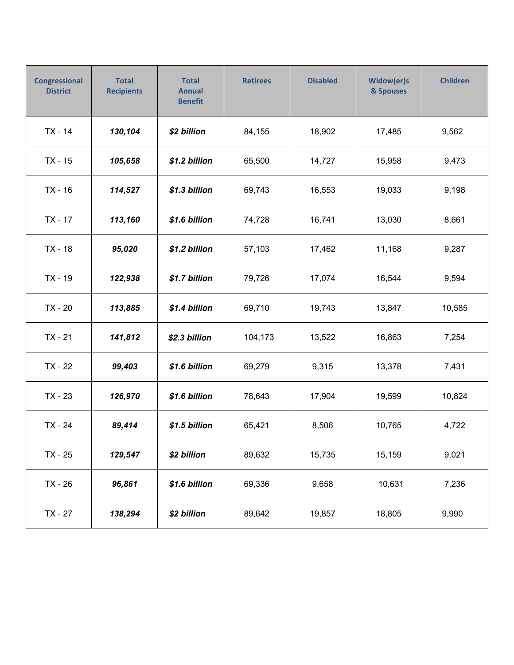| <b>Congressional</b><br><b>District</b> | <b>Total</b><br><b>Recipients</b> | <b>Total</b><br><b>Annual</b><br><b>Benefit</b> | <b>Retirees</b> | <b>Disabled</b> | Widow(er)s<br>& Spouses | <b>Children</b> |
|-----------------------------------------|-----------------------------------|-------------------------------------------------|-----------------|-----------------|-------------------------|-----------------|
| $TX - 14$                               | 130,104                           | \$2 billion                                     | 84,155          | 18,902          | 17,485                  | 9,562           |
| $TX - 15$                               | 105,658                           | \$1.2 billion                                   | 65,500          | 14,727          | 15,958                  | 9,473           |
| $TX - 16$                               | 114,527                           | \$1.3 billion                                   | 69,743          | 16,553          | 19,033                  | 9,198           |
| $TX - 17$                               | 113,160                           | \$1.6 billion                                   | 74,728          | 16,741          | 13,030                  | 8,661           |
| $TX - 18$                               | 95,020                            | \$1.2 billion                                   | 57,103          | 17,462          | 11,168                  | 9,287           |
| $TX - 19$                               | 122,938                           | \$1.7 billion                                   | 79,726          | 17,074          | 16,544                  | 9,594           |
| TX - 20                                 | 113,885                           | \$1.4 billion                                   | 69,710          | 19,743          | 13,847                  | 10,585          |
| $TX - 21$                               | 141,812                           | \$2.3 billion                                   | 104,173         | 13,522          | 16,863                  | 7,254           |
| TX - 22                                 | 99,403                            | \$1.6 billion                                   | 69,279          | 9,315           | 13,378                  | 7,431           |
| TX - 23                                 | 126,970                           | \$1.6 billion                                   | 78,643          | 17,904          | 19,599                  | 10,824          |
| TX - 24                                 | 89,414                            | \$1.5 billion                                   | 65,421          | 8,506           | 10,765                  | 4,722           |
| TX - 25                                 | 129,547                           | \$2 billion                                     | 89,632          | 15,735          | 15,159                  | 9,021           |
| TX - 26                                 | 96,861                            | \$1.6 billion                                   | 69,336          | 9,658           | 10,631                  | 7,236           |
| TX - 27                                 | 138,294                           | \$2 billion                                     | 89,642          | 19,857          | 18,805                  | 9,990           |